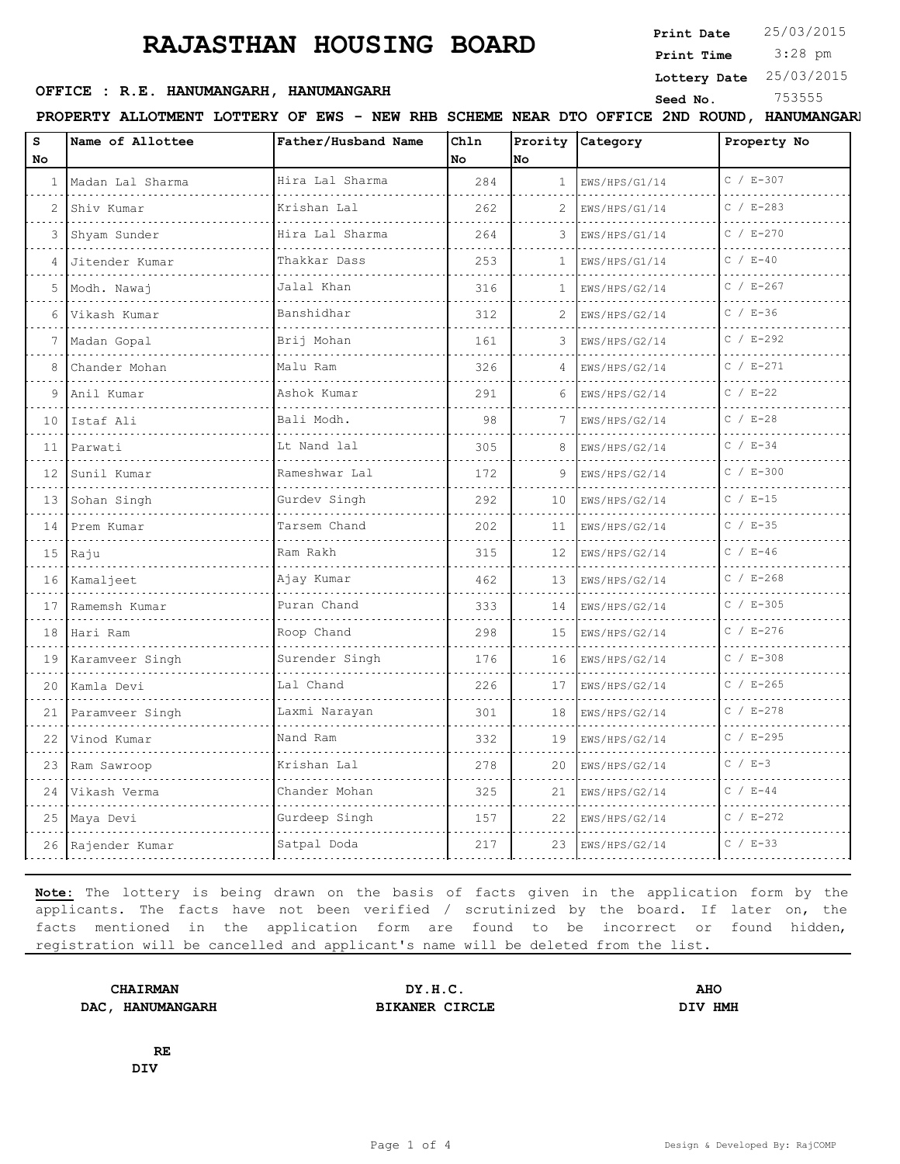**Print Date**  $25/03/2015$ 

 3:28 pm **Print Time**

**Lottery Date** 25/03/2015

### **OFFICE : R.E. HANUMANGARH, HANUMANGARH** Seed No. <sup>753555</sup>

**PROPERTY ALLOTMENT LOTTERY OF EWS - NEW RHB SCHEME NEAR DTO OFFICE 2ND ROUND, HANUMANGARH**

| Hira Lal Sharma<br>$C / E - 307$<br>Madan Lal Sharma<br>284<br>EWS/HPS/G1/14<br>$\mathbf{1}$<br>$\mathbf{1}$<br>$C / E - 283$<br>Krishan Lal<br>Shiv Kumar<br>262<br>$\mathcal{L}$<br>$\mathcal{L}$<br>EWS/HPS/G1/14<br>Hira Lal Sharma<br>$C / E - 270$<br>Shyam Sunder<br>264<br>3<br>3<br>EWS/HPS/G1/14<br><u>.</u> .<br>$C / E - 40$<br>Thakkar Dass<br>253<br>Jitender Kumar<br>1<br>EWS/HPS/G1/14<br>4<br>$C / E - 267$<br>Jalal Khan<br>316<br>5<br>Modh. Nawaj<br>1<br>EWS/HPS/G2/14<br>$C / E-36$<br>Banshidhar<br>Vikash Kumar<br>6<br>312<br>2<br>EWS/HPS/G2/14<br>$C / E - 292$<br>Brij Mohan<br>Madan Gopal<br>161<br>3<br>EWS/HPS/G2/14<br>$C / E - 271$<br>Chander Mohan<br>Malu Ram<br>8<br>326<br>EWS/HPS/G2/14<br>4<br>$C / E - 22$<br>Ashok Kumar<br>Anil Kumar<br>291<br>9<br>EWS/HPS/G2/14<br>6<br>$C / E - 28$<br>Bali Modh.<br>Istaf Ali<br>10<br>98<br>7<br>EWS/HPS/G2/14<br>Lt Nand lal<br>$C / E - 34$<br>305<br>8<br>Parwati<br>EWS/HPS/G2/14<br>11<br>$C / E - 300$<br>Rameshwar Lal<br>172<br>9<br>12<br>Sunil Kumar<br>EWS/HPS/G2/14<br>.<br>$C / E-15$<br>Gurdev Singh<br>13 Sohan Singh<br>292<br>EWS/HPS/G2/14<br>10<br>$C / E - 35$<br>Tarsem Chand<br>202<br>Prem Kumar<br>14<br>11<br>EWS/HPS/G2/14<br>$C / E-46$<br>Ram Rakh<br>$15$ Raju<br>315<br>12<br>EWS/HPS/G2/14<br>$C / E - 268$<br>Kamaljeet<br>Ajay Kumar<br>16<br>462<br>13<br>EWS/HPS/G2/14<br>$C / E - 305$<br>Puran Chand<br>Ramemsh Kumar<br>333<br>17<br>14<br>EWS/HPS/G2/14<br>$C / E - 276$<br>Roop Chand<br>Hari Ram<br>298<br>18<br>15<br>EWS/HPS/G2/14<br>$C / E - 308$<br>Surender Singh<br>Karamveer Singh<br>176<br>16<br>EWS/HPS/G2/14<br>19<br>$C / E - 265$<br>Lal Chand<br>226<br>20<br>Kamla Devi<br>17<br>EWS/HPS/G2/14<br>$C / E - 278$<br>Laxmi Narayan<br>Paramveer Singh<br>301<br>18<br>21<br>EWS/HPS/G2/14<br>$C / E - 295$<br>Nand Ram<br>Vinod Kumar<br>332<br>19<br>EWS/HPS/G2/14<br>22<br>$C / E-3$<br>Krishan Lal<br>278<br>20<br>23<br>Ram Sawroop<br>EWS/HPS/G2/14<br>$C / E - 44$<br>Chander Mohan<br>325<br>24<br>Vikash Verma<br>21<br>EWS/HPS/G2/14<br>.<br>Gurdeep Singh<br>$C / E - 272$<br>25 Maya Devi<br>157<br>22<br>EWS/HPS/G2/14 | s<br>No. | Name of Allottee | Father/Husband Name | Chln<br>No | No | Prority Category | Property No |
|------------------------------------------------------------------------------------------------------------------------------------------------------------------------------------------------------------------------------------------------------------------------------------------------------------------------------------------------------------------------------------------------------------------------------------------------------------------------------------------------------------------------------------------------------------------------------------------------------------------------------------------------------------------------------------------------------------------------------------------------------------------------------------------------------------------------------------------------------------------------------------------------------------------------------------------------------------------------------------------------------------------------------------------------------------------------------------------------------------------------------------------------------------------------------------------------------------------------------------------------------------------------------------------------------------------------------------------------------------------------------------------------------------------------------------------------------------------------------------------------------------------------------------------------------------------------------------------------------------------------------------------------------------------------------------------------------------------------------------------------------------------------------------------------------------------------------------------------------------------------------------------------------------------------------------------------------------------------------------------------------------------------------------------------------------------------------------------------------------------------------------------------------------------------------|----------|------------------|---------------------|------------|----|------------------|-------------|
|                                                                                                                                                                                                                                                                                                                                                                                                                                                                                                                                                                                                                                                                                                                                                                                                                                                                                                                                                                                                                                                                                                                                                                                                                                                                                                                                                                                                                                                                                                                                                                                                                                                                                                                                                                                                                                                                                                                                                                                                                                                                                                                                                                              |          |                  |                     |            |    |                  |             |
|                                                                                                                                                                                                                                                                                                                                                                                                                                                                                                                                                                                                                                                                                                                                                                                                                                                                                                                                                                                                                                                                                                                                                                                                                                                                                                                                                                                                                                                                                                                                                                                                                                                                                                                                                                                                                                                                                                                                                                                                                                                                                                                                                                              |          |                  |                     |            |    |                  |             |
|                                                                                                                                                                                                                                                                                                                                                                                                                                                                                                                                                                                                                                                                                                                                                                                                                                                                                                                                                                                                                                                                                                                                                                                                                                                                                                                                                                                                                                                                                                                                                                                                                                                                                                                                                                                                                                                                                                                                                                                                                                                                                                                                                                              |          |                  |                     |            |    |                  |             |
|                                                                                                                                                                                                                                                                                                                                                                                                                                                                                                                                                                                                                                                                                                                                                                                                                                                                                                                                                                                                                                                                                                                                                                                                                                                                                                                                                                                                                                                                                                                                                                                                                                                                                                                                                                                                                                                                                                                                                                                                                                                                                                                                                                              |          |                  |                     |            |    |                  |             |
|                                                                                                                                                                                                                                                                                                                                                                                                                                                                                                                                                                                                                                                                                                                                                                                                                                                                                                                                                                                                                                                                                                                                                                                                                                                                                                                                                                                                                                                                                                                                                                                                                                                                                                                                                                                                                                                                                                                                                                                                                                                                                                                                                                              |          |                  |                     |            |    |                  |             |
|                                                                                                                                                                                                                                                                                                                                                                                                                                                                                                                                                                                                                                                                                                                                                                                                                                                                                                                                                                                                                                                                                                                                                                                                                                                                                                                                                                                                                                                                                                                                                                                                                                                                                                                                                                                                                                                                                                                                                                                                                                                                                                                                                                              |          |                  |                     |            |    |                  |             |
|                                                                                                                                                                                                                                                                                                                                                                                                                                                                                                                                                                                                                                                                                                                                                                                                                                                                                                                                                                                                                                                                                                                                                                                                                                                                                                                                                                                                                                                                                                                                                                                                                                                                                                                                                                                                                                                                                                                                                                                                                                                                                                                                                                              |          |                  |                     |            |    |                  |             |
|                                                                                                                                                                                                                                                                                                                                                                                                                                                                                                                                                                                                                                                                                                                                                                                                                                                                                                                                                                                                                                                                                                                                                                                                                                                                                                                                                                                                                                                                                                                                                                                                                                                                                                                                                                                                                                                                                                                                                                                                                                                                                                                                                                              |          |                  |                     |            |    |                  |             |
|                                                                                                                                                                                                                                                                                                                                                                                                                                                                                                                                                                                                                                                                                                                                                                                                                                                                                                                                                                                                                                                                                                                                                                                                                                                                                                                                                                                                                                                                                                                                                                                                                                                                                                                                                                                                                                                                                                                                                                                                                                                                                                                                                                              |          |                  |                     |            |    |                  |             |
|                                                                                                                                                                                                                                                                                                                                                                                                                                                                                                                                                                                                                                                                                                                                                                                                                                                                                                                                                                                                                                                                                                                                                                                                                                                                                                                                                                                                                                                                                                                                                                                                                                                                                                                                                                                                                                                                                                                                                                                                                                                                                                                                                                              |          |                  |                     |            |    |                  |             |
|                                                                                                                                                                                                                                                                                                                                                                                                                                                                                                                                                                                                                                                                                                                                                                                                                                                                                                                                                                                                                                                                                                                                                                                                                                                                                                                                                                                                                                                                                                                                                                                                                                                                                                                                                                                                                                                                                                                                                                                                                                                                                                                                                                              |          |                  |                     |            |    |                  |             |
|                                                                                                                                                                                                                                                                                                                                                                                                                                                                                                                                                                                                                                                                                                                                                                                                                                                                                                                                                                                                                                                                                                                                                                                                                                                                                                                                                                                                                                                                                                                                                                                                                                                                                                                                                                                                                                                                                                                                                                                                                                                                                                                                                                              |          |                  |                     |            |    |                  |             |
|                                                                                                                                                                                                                                                                                                                                                                                                                                                                                                                                                                                                                                                                                                                                                                                                                                                                                                                                                                                                                                                                                                                                                                                                                                                                                                                                                                                                                                                                                                                                                                                                                                                                                                                                                                                                                                                                                                                                                                                                                                                                                                                                                                              |          |                  |                     |            |    |                  |             |
|                                                                                                                                                                                                                                                                                                                                                                                                                                                                                                                                                                                                                                                                                                                                                                                                                                                                                                                                                                                                                                                                                                                                                                                                                                                                                                                                                                                                                                                                                                                                                                                                                                                                                                                                                                                                                                                                                                                                                                                                                                                                                                                                                                              |          |                  |                     |            |    |                  |             |
|                                                                                                                                                                                                                                                                                                                                                                                                                                                                                                                                                                                                                                                                                                                                                                                                                                                                                                                                                                                                                                                                                                                                                                                                                                                                                                                                                                                                                                                                                                                                                                                                                                                                                                                                                                                                                                                                                                                                                                                                                                                                                                                                                                              |          |                  |                     |            |    |                  |             |
|                                                                                                                                                                                                                                                                                                                                                                                                                                                                                                                                                                                                                                                                                                                                                                                                                                                                                                                                                                                                                                                                                                                                                                                                                                                                                                                                                                                                                                                                                                                                                                                                                                                                                                                                                                                                                                                                                                                                                                                                                                                                                                                                                                              |          |                  |                     |            |    |                  |             |
|                                                                                                                                                                                                                                                                                                                                                                                                                                                                                                                                                                                                                                                                                                                                                                                                                                                                                                                                                                                                                                                                                                                                                                                                                                                                                                                                                                                                                                                                                                                                                                                                                                                                                                                                                                                                                                                                                                                                                                                                                                                                                                                                                                              |          |                  |                     |            |    |                  |             |
|                                                                                                                                                                                                                                                                                                                                                                                                                                                                                                                                                                                                                                                                                                                                                                                                                                                                                                                                                                                                                                                                                                                                                                                                                                                                                                                                                                                                                                                                                                                                                                                                                                                                                                                                                                                                                                                                                                                                                                                                                                                                                                                                                                              |          |                  |                     |            |    |                  |             |
|                                                                                                                                                                                                                                                                                                                                                                                                                                                                                                                                                                                                                                                                                                                                                                                                                                                                                                                                                                                                                                                                                                                                                                                                                                                                                                                                                                                                                                                                                                                                                                                                                                                                                                                                                                                                                                                                                                                                                                                                                                                                                                                                                                              |          |                  |                     |            |    |                  |             |
|                                                                                                                                                                                                                                                                                                                                                                                                                                                                                                                                                                                                                                                                                                                                                                                                                                                                                                                                                                                                                                                                                                                                                                                                                                                                                                                                                                                                                                                                                                                                                                                                                                                                                                                                                                                                                                                                                                                                                                                                                                                                                                                                                                              |          |                  |                     |            |    |                  |             |
|                                                                                                                                                                                                                                                                                                                                                                                                                                                                                                                                                                                                                                                                                                                                                                                                                                                                                                                                                                                                                                                                                                                                                                                                                                                                                                                                                                                                                                                                                                                                                                                                                                                                                                                                                                                                                                                                                                                                                                                                                                                                                                                                                                              |          |                  |                     |            |    |                  |             |
|                                                                                                                                                                                                                                                                                                                                                                                                                                                                                                                                                                                                                                                                                                                                                                                                                                                                                                                                                                                                                                                                                                                                                                                                                                                                                                                                                                                                                                                                                                                                                                                                                                                                                                                                                                                                                                                                                                                                                                                                                                                                                                                                                                              |          |                  |                     |            |    |                  |             |
|                                                                                                                                                                                                                                                                                                                                                                                                                                                                                                                                                                                                                                                                                                                                                                                                                                                                                                                                                                                                                                                                                                                                                                                                                                                                                                                                                                                                                                                                                                                                                                                                                                                                                                                                                                                                                                                                                                                                                                                                                                                                                                                                                                              |          |                  |                     |            |    |                  |             |
|                                                                                                                                                                                                                                                                                                                                                                                                                                                                                                                                                                                                                                                                                                                                                                                                                                                                                                                                                                                                                                                                                                                                                                                                                                                                                                                                                                                                                                                                                                                                                                                                                                                                                                                                                                                                                                                                                                                                                                                                                                                                                                                                                                              |          |                  |                     |            |    |                  |             |
|                                                                                                                                                                                                                                                                                                                                                                                                                                                                                                                                                                                                                                                                                                                                                                                                                                                                                                                                                                                                                                                                                                                                                                                                                                                                                                                                                                                                                                                                                                                                                                                                                                                                                                                                                                                                                                                                                                                                                                                                                                                                                                                                                                              |          |                  |                     |            |    |                  |             |
| $C / E - 33$<br>Satpal Doda<br>217<br>23<br>EWS/HPS/G2/14<br>26<br>Rajender Kumar                                                                                                                                                                                                                                                                                                                                                                                                                                                                                                                                                                                                                                                                                                                                                                                                                                                                                                                                                                                                                                                                                                                                                                                                                                                                                                                                                                                                                                                                                                                                                                                                                                                                                                                                                                                                                                                                                                                                                                                                                                                                                            |          |                  |                     |            |    |                  |             |

**Note:** The lottery is being drawn on the basis of facts given in the application form by the applicants. The facts have not been verified / scrutinized by the board. If later on, the facts mentioned in the application form are found to be incorrect or found hidden, registration will be cancelled and applicant's name will be deleted from the list.

**DAC, HANUMANGARH BIKANER CIRCLE DIV HMH**

**CHAIRMAN DY.H.C. AHO**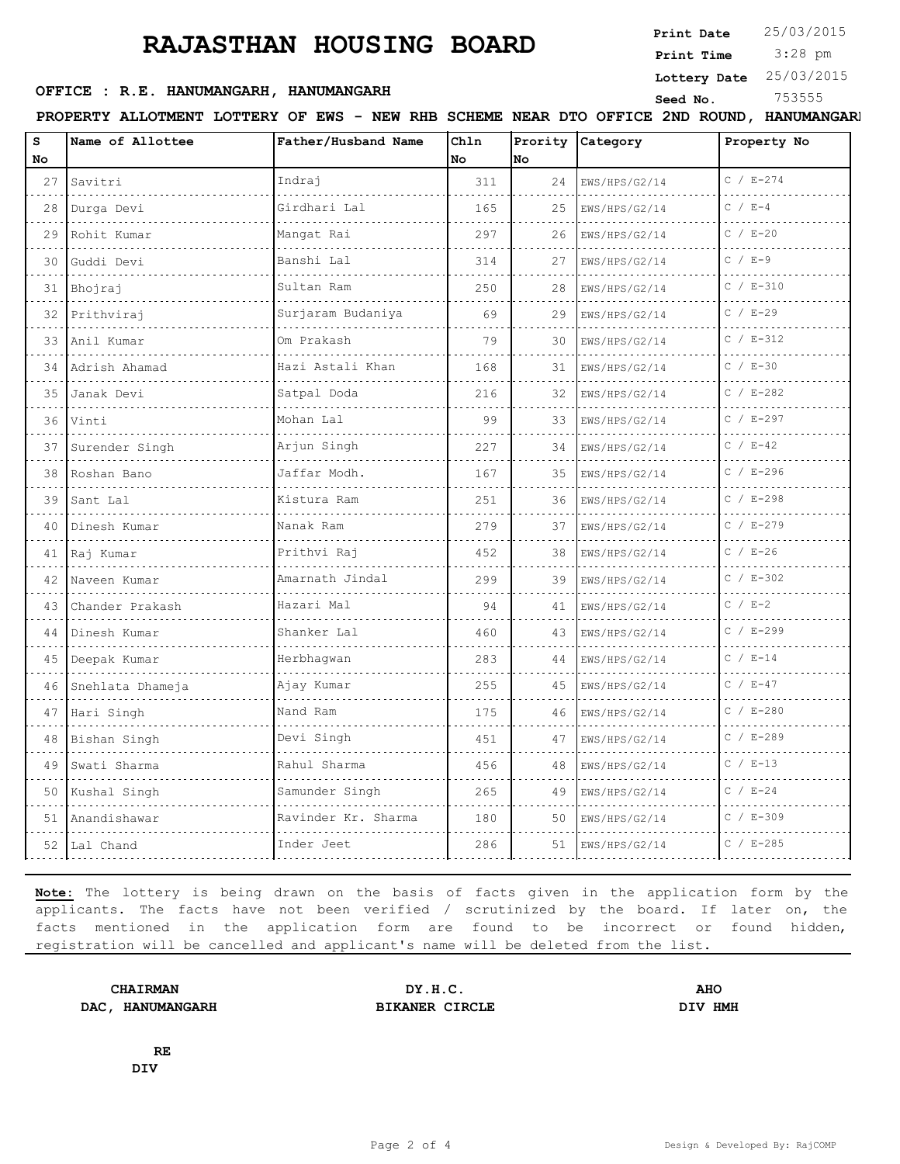**Print Date**  $25/03/2015$ 

 3:28 pm **Print Time**

#### **Lottery Date** 25/03/2015

#### **SEED OFFICE : R.E. HANUMANGARH, HANUMANGARH** Seed No. 253555

| 2ND<br><b>ROUND</b><br>RHB<br><b>SCHEME NEAR DTO</b><br><b>LOTTERY OF</b><br><b>ALLOTMENT</b><br><b>EWS</b><br><b>PROPERTY</b><br><b>OFFICE</b><br>NEW<br><b>HANUMANGARI</b> |
|------------------------------------------------------------------------------------------------------------------------------------------------------------------------------|
|------------------------------------------------------------------------------------------------------------------------------------------------------------------------------|

| s<br>No | Name of Allottee  | Father/Husband Name    | Ch1n<br>No | Prority<br>No. | Category           | Property No   |
|---------|-------------------|------------------------|------------|----------------|--------------------|---------------|
| 27      | Savitri           | Indrai                 | 311        | 24             | EWS/HPS/G2/14      | $C / E - 274$ |
| 28      | Durga Devi        | Girdhari Lal           | 165        | 25             | .<br>EWS/HPS/G2/14 | $C / E-4$     |
| 29      | Rohit Kumar       | .<br>Mangat Rai        | 297        | 26             | EWS/HPS/G2/14      | $C / E - 20$  |
| 30      | Guddi Devi        | Banshi Lal             | 314        | 27             | EWS/HPS/G2/14      | $C / E-9$     |
| 31      | Bhojraj           | Sultan Ram             | 250        | 28             | EWS/HPS/G2/14      | $C / E - 310$ |
| 32      | Prithviraj        | .<br>Surjaram Budaniya | 69         | 29             | EWS/HPS/G2/14      | $C / E - 29$  |
| 33      | Anil Kumar        | Om Prakash             | 79         | 30             | EWS/HPS/G2/14      | $C / E - 312$ |
| 34      | Adrish Ahamad     | Hazi Astali Khan<br>.  | 168        | 31             | EWS/HPS/G2/14      | $C / E - 30$  |
| 35      | Janak Devi        | Satpal Doda            | 216        | 32             | EWS/HPS/G2/14      | $C / E - 282$ |
| 36      | Vinti<br>.        | Mohan Lal<br>.         | 99         | 33             | EWS/HPS/G2/14<br>. | $C / E - 297$ |
| 37      | Surender Singh    | Arjun Singh            | 227        | 34             | EWS/HPS/G2/14      | $C / E - 42$  |
| 38      | Roshan Bano       | Jaffar Modh.           | 167        | 35             | EWS/HPS/G2/14      | $C / E - 296$ |
| 39      | Sant Lal<br>.     | Kistura Ram            | 251        | 36             | EWS/HPS/G2/14<br>. | $C / E - 298$ |
| 40      | Dinesh Kumar      | Nanak Ram              | 279        | 37             | EWS/HPS/G2/14      | $C / E - 279$ |
| 41      | Raj Kumar         | Prithvi Raj            | 452        | 38             | EWS/HPS/G2/14      | $C / E - 26$  |
| 42      | Naveen Kumar<br>. | Amarnath Jindal<br>.   | 299        | 39             | EWS/HPS/G2/14      | $C / E - 302$ |
| 43      | Chander Prakash   | Hazari Mal             | 94         | 41             | EWS/HPS/G2/14      | $C / E-2$     |
| 44      | Dinesh Kumar      | Shanker Lal            | 460        | 43             | EWS/HPS/G2/14      | $C / E - 299$ |
| 45      | Deepak Kumar      | Herbhaqwan<br>.        | 283        | 44             | EWS/HPS/G2/14      | $C / E - 14$  |
| 46      | Snehlata Dhameja  | Ajay Kumar             | 255        | 45             | EWS/HPS/G2/14      | $C / E - 47$  |
| 47      | Hari Singh        | Nand Ram               | 175        | 46             | EWS/HPS/G2/14      | $C / E - 280$ |
| 48      | Bishan Singh<br>. | Devi Singh             | 451        | 47             | EWS/HPS/G2/14      | $C / E - 289$ |
| 49      | Swati Sharma      | Rahul Sharma           | 456        | 48             | EWS/HPS/G2/14      | $C / E - 13$  |
| 50      | Kushal Singh      | Samunder Singh         | 265        | 49             | EWS/HPS/G2/14      | $C / E - 24$  |
| 51      | Anandishawar      | Ravinder Kr. Sharma    | 180        | 50             | EWS/HPS/G2/14      | $C / E - 309$ |
|         | 52 Lal Chand      | Inder Jeet             | 286        | 51             | EWS/HPS/G2/14      | $C / E - 285$ |

**Note:** The lottery is being drawn on the basis of facts given in the application form by the applicants. The facts have not been verified / scrutinized by the board. If later on, the facts mentioned in the application form are found to be incorrect or found hidden, registration will be cancelled and applicant's name will be deleted from the list.

**DAC, HANUMANGARH BIKANER CIRCLE DIV HMH**

**CHAIRMAN DY.H.C. AHO**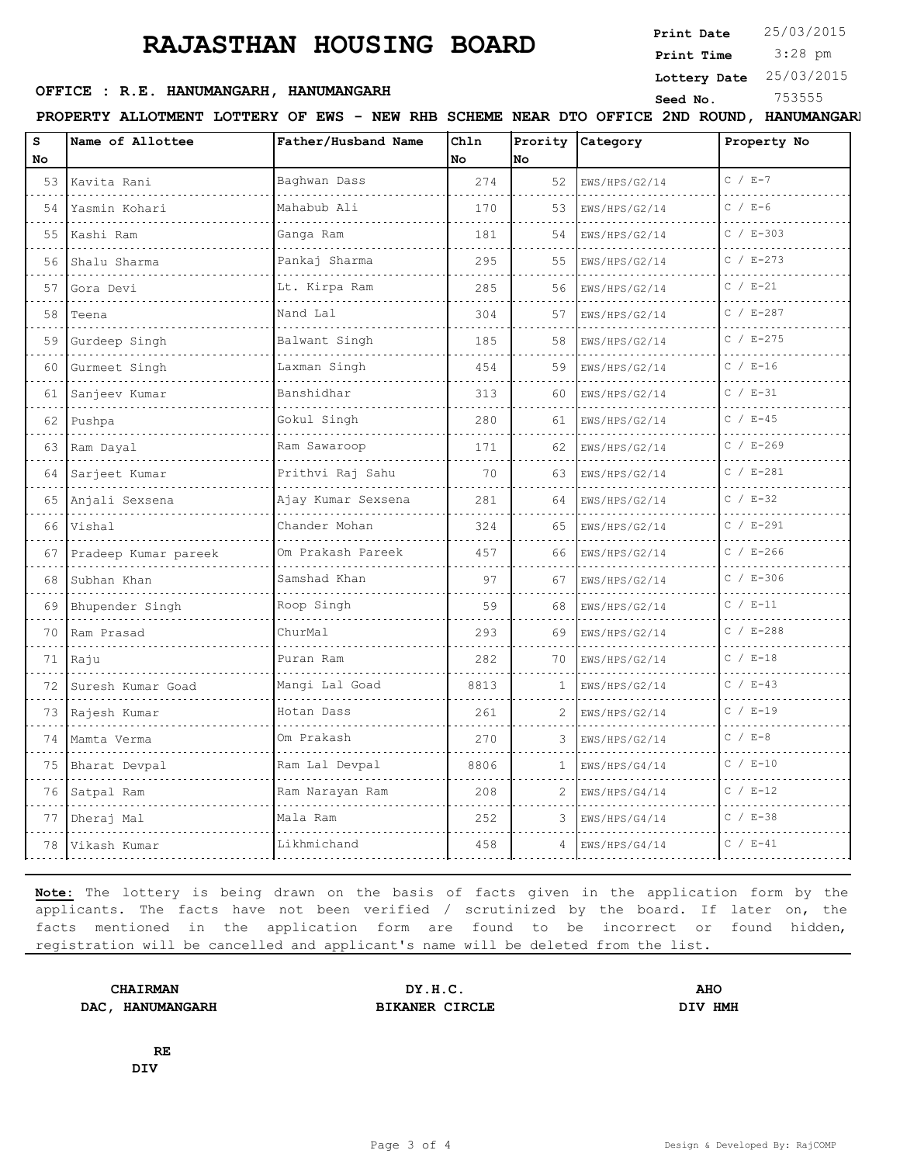**Print Date**  $25/03/2015$ 

 3:28 pm **Print Time**

**Lottery Date** 25/03/2015

### **OFFICE : R.E. HANUMANGARH, HANUMANGARH** Seed No. <sup>753555</sup>

**PROPERTY ALLOTMENT LOTTERY OF EWS - NEW RHB SCHEME NEAR DTO OFFICE 2ND ROUND, HANUMANGARH**

| s   | Name of Allottee          | Father/Husband Name | Chln       | lno | Prority Category | Property No   |
|-----|---------------------------|---------------------|------------|-----|------------------|---------------|
| No. |                           | Baghwan Dass        | No.<br>274 |     |                  | $C / E-7$     |
|     | 53 Kavita Rani            |                     |            | 52  | EWS/HPS/G2/14    |               |
| 54  | Yasmin Kohari             | Mahabub Ali         | 170        | 53  | EWS/HPS/G2/14    | $C / E - 6$   |
| 55  | Kashi Ram                 | Ganga Ram           | 181        | 54  | EWS/HPS/G2/14    | $C / E - 303$ |
| 56  | Shalu Sharma              | Pankaj Sharma       | 295        | 55  | EWS/HPS/G2/14    | $C / E - 273$ |
| 57  | Gora Devi                 | Lt. Kirpa Ram       | 285        | 56  | EWS/HPS/G2/14    | $C / E - 21$  |
| 58  | Teena                     | Nand Lal            | 304        | 57  | EWS/HPS/G2/14    | $C / E - 287$ |
| 59  | Gurdeep Singh             | Balwant Singh       | 185        | 58  | EWS/HPS/G2/14    | $C / E - 275$ |
| 60  | Gurmeet Singh             | Laxman Singh        | 454        | 59  | EWS/HPS/G2/14    | $C / E-16$    |
| 61  | Sanjeev Kumar             | Banshidhar          | 313        | 60  | EWS/HPS/G2/14    | $C / E - 31$  |
| 62  | Pushpa                    | Gokul Singh         | 280        | 61  | EWS/HPS/G2/14    | $C / E - 45$  |
|     | 63 Ram Dayal              | .<br>Ram Sawaroop   | 171        | 62  | EWS/HPS/G2/14    | $C / E - 269$ |
| 64  | Sarjeet Kumar             | Prithvi Raj Sahu    | 70         | 63  | EWS/HPS/G2/14    | $C / E - 281$ |
| 65  | Anjali Sexsena            | Ajay Kumar Sexsena  | 281        | 64  | EWS/HPS/G2/14    | $C / E - 32$  |
|     | 66 Vishal                 | Chander Mohan       | 324        | 65  | EWS/HPS/G2/14    | $C / E - 291$ |
| 67  | Pradeep Kumar pareek      | Om Prakash Pareek   | 457        | 66  | EWS/HPS/G2/14    | $C / E - 266$ |
| 68  | Subhan Khan               | Samshad Khan<br>.   | 97         | 67  | EWS/HPS/G2/14    | $C / E - 306$ |
| 69  | Bhupender Singh           | Roop Singh          | 59         | 68  | EWS/HPS/G2/14    | $C / E - 11$  |
| 70  | Ram Prasad                | ChurMal             | 293        | 69  | EWS/HPS/G2/14    | $C / E - 288$ |
|     | 71   Raju                 | Puran Ram           | 282        | 70  | EWS/HPS/G2/14    | $C / E-18$    |
|     | 72 Suresh Kumar Goad<br>. | .<br>Mangi Lal Goad | 8813       | 1   | EWS/HPS/G2/14    | $C / E - 43$  |
| 73  | Rajesh Kumar              | Hotan Dass          | 261        | 2   | EWS/HPS/G2/14    | $C / E-19$    |
| 74  | Mamta Verma               | Om Prakash          | 270        | 3   | EWS/HPS/G2/14    | $C$ / $E-8$   |
|     | 75 Bharat Devpal          | .<br>Ram Lal Devpal | 8806       | 1   | EWS/HPS/G4/14    | $C / E - 10$  |
| 76  | Satpal Ram                | Ram Narayan Ram     | 208        | 2   | EWS/HPS/G4/14    | $C / E-12$    |
| 77  | Dheraj Mal                | Mala Ram            | 252        | 3   | EWS/HPS/G4/14    | $C / E - 38$  |
| 78  | Vikash Kumar              | Likhmichand         | 458        | 4   | EWS/HPS/G4/14    | $C / E - 41$  |

**Note:** The lottery is being drawn on the basis of facts given in the application form by the applicants. The facts have not been verified / scrutinized by the board. If later on, the facts mentioned in the application form are found to be incorrect or found hidden, registration will be cancelled and applicant's name will be deleted from the list.

**DAC, HANUMANGARH BIKANER CIRCLE DIV HMH**

**CHAIRMAN DY.H.C. AHO**